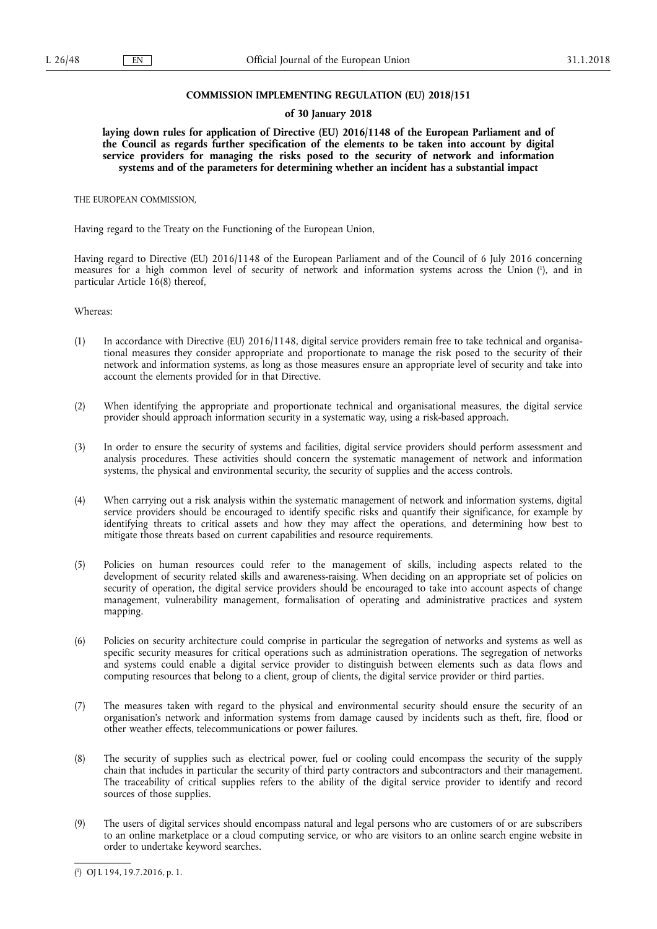### **COMMISSION IMPLEMENTING REGULATION (EU) 2018/151**

### **of 30 January 2018**

**laying down rules for application of Directive (EU) 2016/1148 of the European Parliament and of the Council as regards further specification of the elements to be taken into account by digital service providers for managing the risks posed to the security of network and information systems and of the parameters for determining whether an incident has a substantial impact** 

THE EUROPEAN COMMISSION,

Having regard to the Treaty on the Functioning of the European Union,

Having regard to Directive (EU) 2016/1148 of the European Parliament and of the Council of 6 July 2016 concerning measures for a high common level of security of network and information systems across the Union ( 1 ), and in particular Article 16(8) thereof,

Whereas:

- (1) In accordance with Directive (EU) 2016/1148, digital service providers remain free to take technical and organisational measures they consider appropriate and proportionate to manage the risk posed to the security of their network and information systems, as long as those measures ensure an appropriate level of security and take into account the elements provided for in that Directive.
- (2) When identifying the appropriate and proportionate technical and organisational measures, the digital service provider should approach information security in a systematic way, using a risk-based approach.
- (3) In order to ensure the security of systems and facilities, digital service providers should perform assessment and analysis procedures. These activities should concern the systematic management of network and information systems, the physical and environmental security, the security of supplies and the access controls.
- (4) When carrying out a risk analysis within the systematic management of network and information systems, digital service providers should be encouraged to identify specific risks and quantify their significance, for example by identifying threats to critical assets and how they may affect the operations, and determining how best to mitigate those threats based on current capabilities and resource requirements.
- (5) Policies on human resources could refer to the management of skills, including aspects related to the development of security related skills and awareness-raising. When deciding on an appropriate set of policies on security of operation, the digital service providers should be encouraged to take into account aspects of change management, vulnerability management, formalisation of operating and administrative practices and system mapping.
- (6) Policies on security architecture could comprise in particular the segregation of networks and systems as well as specific security measures for critical operations such as administration operations. The segregation of networks and systems could enable a digital service provider to distinguish between elements such as data flows and computing resources that belong to a client, group of clients, the digital service provider or third parties.
- (7) The measures taken with regard to the physical and environmental security should ensure the security of an organisation's network and information systems from damage caused by incidents such as theft, fire, flood or other weather effects, telecommunications or power failures.
- (8) The security of supplies such as electrical power, fuel or cooling could encompass the security of the supply chain that includes in particular the security of third party contractors and subcontractors and their management. The traceability of critical supplies refers to the ability of the digital service provider to identify and record sources of those supplies.
- (9) The users of digital services should encompass natural and legal persons who are customers of or are subscribers to an online marketplace or a cloud computing service, or who are visitors to an online search engine website in order to undertake keyword searches.

<sup>(</sup> 1 ) OJ L 194, 19.7.2016, p. 1.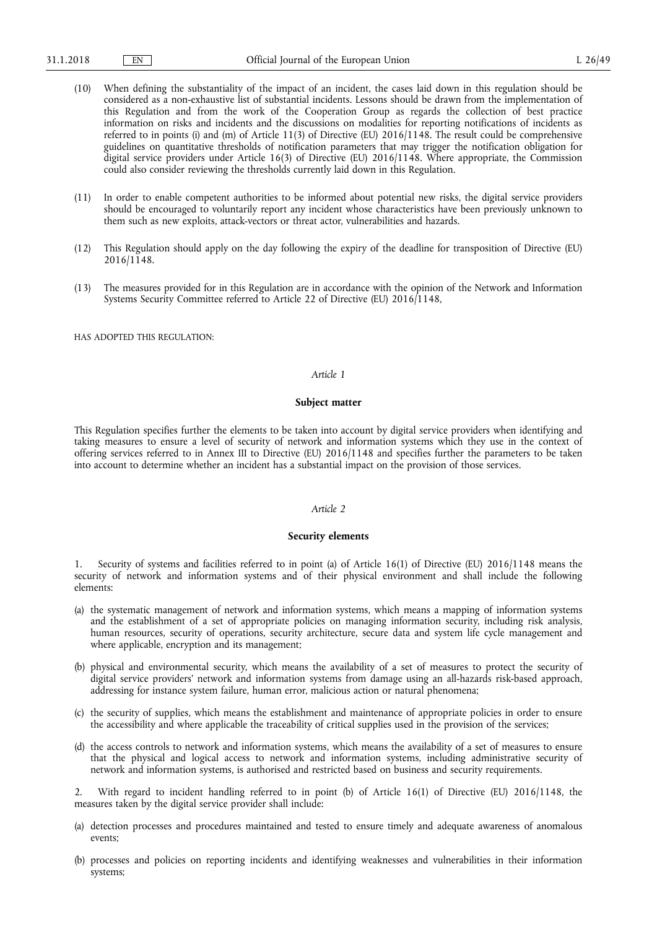- (10) When defining the substantiality of the impact of an incident, the cases laid down in this regulation should be considered as a non-exhaustive list of substantial incidents. Lessons should be drawn from the implementation of this Regulation and from the work of the Cooperation Group as regards the collection of best practice information on risks and incidents and the discussions on modalities for reporting notifications of incidents as referred to in points (i) and (m) of Article 11(3) of Directive (EU) 2016/1148. The result could be comprehensive guidelines on quantitative thresholds of notification parameters that may trigger the notification obligation for digital service providers under Article 16(3) of Directive (EU) 2016/1148. Where appropriate, the Commission could also consider reviewing the thresholds currently laid down in this Regulation.
- (11) In order to enable competent authorities to be informed about potential new risks, the digital service providers should be encouraged to voluntarily report any incident whose characteristics have been previously unknown to them such as new exploits, attack-vectors or threat actor, vulnerabilities and hazards.
- (12) This Regulation should apply on the day following the expiry of the deadline for transposition of Directive (EU) 2016/1148.
- (13) The measures provided for in this Regulation are in accordance with the opinion of the Network and Information Systems Security Committee referred to Article 22 of Directive (EU) 2016/1148,

HAS ADOPTED THIS REGULATION:

# *Article 1*

### **Subject matter**

This Regulation specifies further the elements to be taken into account by digital service providers when identifying and taking measures to ensure a level of security of network and information systems which they use in the context of offering services referred to in Annex III to Directive (EU) 2016/1148 and specifies further the parameters to be taken into account to determine whether an incident has a substantial impact on the provision of those services.

## *Article 2*

## **Security elements**

1. Security of systems and facilities referred to in point (a) of Article 16(1) of Directive (EU) 2016/1148 means the security of network and information systems and of their physical environment and shall include the following elements:

- (a) the systematic management of network and information systems, which means a mapping of information systems and the establishment of a set of appropriate policies on managing information security, including risk analysis, human resources, security of operations, security architecture, secure data and system life cycle management and where applicable, encryption and its management;
- (b) physical and environmental security, which means the availability of a set of measures to protect the security of digital service providers' network and information systems from damage using an all-hazards risk-based approach, addressing for instance system failure, human error, malicious action or natural phenomena;
- (c) the security of supplies, which means the establishment and maintenance of appropriate policies in order to ensure the accessibility and where applicable the traceability of critical supplies used in the provision of the services;
- (d) the access controls to network and information systems, which means the availability of a set of measures to ensure that the physical and logical access to network and information systems, including administrative security of network and information systems, is authorised and restricted based on business and security requirements.

2. With regard to incident handling referred to in point (b) of Article 16(1) of Directive (EU) 2016/1148, the measures taken by the digital service provider shall include:

- (a) detection processes and procedures maintained and tested to ensure timely and adequate awareness of anomalous events;
- (b) processes and policies on reporting incidents and identifying weaknesses and vulnerabilities in their information systems;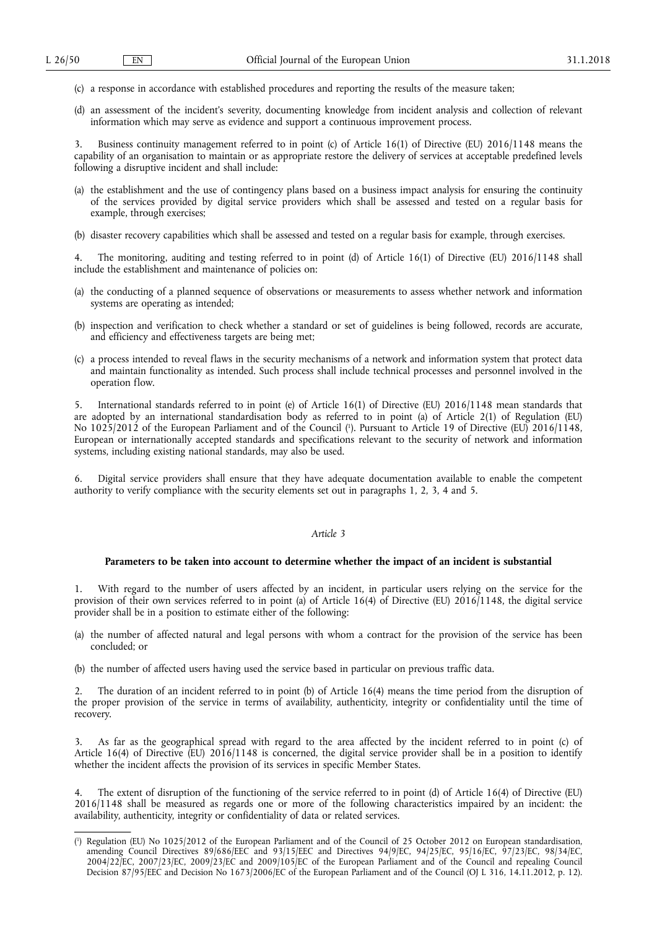- (c) a response in accordance with established procedures and reporting the results of the measure taken;
- (d) an assessment of the incident's severity, documenting knowledge from incident analysis and collection of relevant information which may serve as evidence and support a continuous improvement process.

3. Business continuity management referred to in point (c) of Article 16(1) of Directive (EU) 2016/1148 means the capability of an organisation to maintain or as appropriate restore the delivery of services at acceptable predefined levels following a disruptive incident and shall include:

- (a) the establishment and the use of contingency plans based on a business impact analysis for ensuring the continuity of the services provided by digital service providers which shall be assessed and tested on a regular basis for example, through exercises;
- (b) disaster recovery capabilities which shall be assessed and tested on a regular basis for example, through exercises.

4. The monitoring, auditing and testing referred to in point (d) of Article 16(1) of Directive (EU) 2016/1148 shall include the establishment and maintenance of policies on:

- (a) the conducting of a planned sequence of observations or measurements to assess whether network and information systems are operating as intended;
- (b) inspection and verification to check whether a standard or set of guidelines is being followed, records are accurate, and efficiency and effectiveness targets are being met;
- (c) a process intended to reveal flaws in the security mechanisms of a network and information system that protect data and maintain functionality as intended. Such process shall include technical processes and personnel involved in the operation flow.

5. International standards referred to in point (e) of Article 16(1) of Directive (EU) 2016/1148 mean standards that are adopted by an international standardisation body as referred to in point (a) of Article 2(1) of Regulation (EU) No 1025/2012 of the European Parliament and of the Council ( 1 ). Pursuant to Article 19 of Directive (EU) 2016/1148, European or internationally accepted standards and specifications relevant to the security of network and information systems, including existing national standards, may also be used.

6. Digital service providers shall ensure that they have adequate documentation available to enable the competent authority to verify compliance with the security elements set out in paragraphs 1, 2, 3, 4 and 5.

#### *Article 3*

# **Parameters to be taken into account to determine whether the impact of an incident is substantial**

1. With regard to the number of users affected by an incident, in particular users relying on the service for the provision of their own services referred to in point (a) of Article 16(4) of Directive (EU) 2016/1148, the digital service provider shall be in a position to estimate either of the following:

- (a) the number of affected natural and legal persons with whom a contract for the provision of the service has been concluded; or
- (b) the number of affected users having used the service based in particular on previous traffic data.

2. The duration of an incident referred to in point (b) of Article 16(4) means the time period from the disruption of the proper provision of the service in terms of availability, authenticity, integrity or confidentiality until the time of recovery.

3. As far as the geographical spread with regard to the area affected by the incident referred to in point (c) of Article 16(4) of Directive (EU) 2016/1148 is concerned, the digital service provider shall be in a position to identify whether the incident affects the provision of its services in specific Member States.

4. The extent of disruption of the functioning of the service referred to in point (d) of Article 16(4) of Directive (EU) 2016/1148 shall be measured as regards one or more of the following characteristics impaired by an incident: the availability, authenticity, integrity or confidentiality of data or related services.

<sup>(</sup> 1 ) Regulation (EU) No 1025/2012 of the European Parliament and of the Council of 25 October 2012 on European standardisation, amending Council Directives 89/686/EEC and 93/15/EEC and Directives 94/9/EC, 94/25/EC, 95/16/EC, 97/23/EC, 98/34/EC, 2004/22/EC, 2007/23/EC, 2009/23/EC and 2009/105/EC of the European Parliament and of the Council and repealing Council Decision 87/95/EEC and Decision No 1673/2006/EC of the European Parliament and of the Council (OJ L 316, 14.11.2012, p. 12).